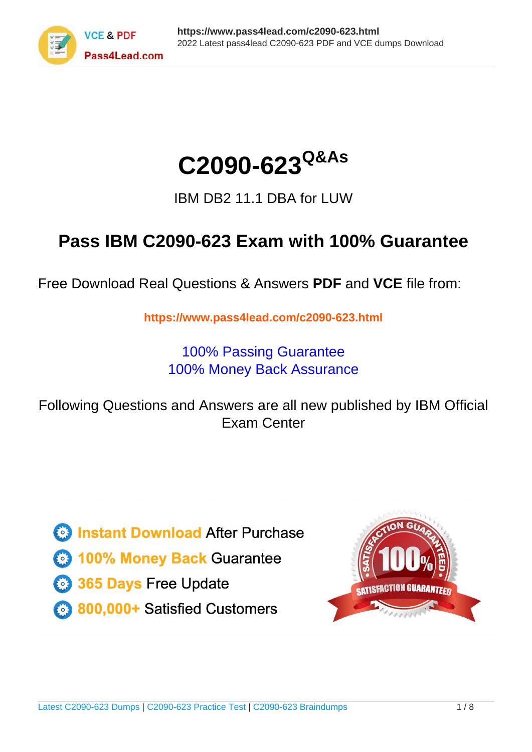

# **C2090-623Q&As**

IBM DB2 11.1 DBA for LUW

### **Pass IBM C2090-623 Exam with 100% Guarantee**

Free Download Real Questions & Answers **PDF** and **VCE** file from:

**https://www.pass4lead.com/c2090-623.html**

100% Passing Guarantee 100% Money Back Assurance

Following Questions and Answers are all new published by IBM Official Exam Center

**C** Instant Download After Purchase

**83 100% Money Back Guarantee** 

- 365 Days Free Update
- 800,000+ Satisfied Customers  $\epsilon$  or

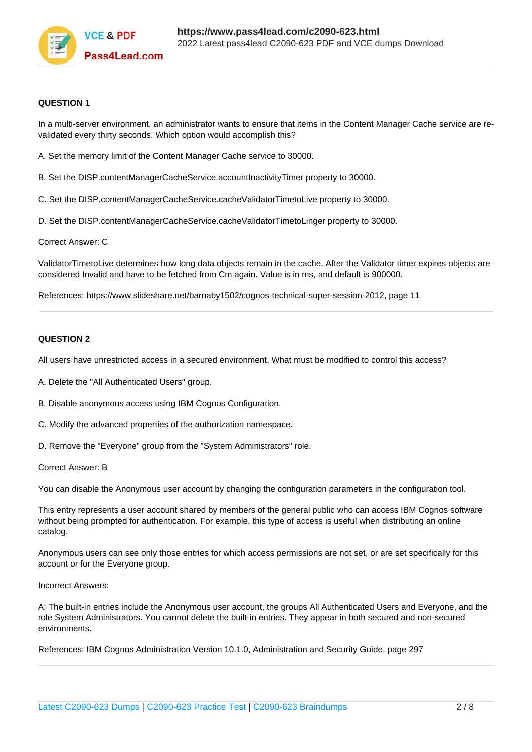

#### **QUESTION 1**

In a multi-server environment, an administrator wants to ensure that items in the Content Manager Cache service are revalidated every thirty seconds. Which option would accomplish this?

- A. Set the memory limit of the Content Manager Cache service to 30000.
- B. Set the DISP.contentManagerCacheService.accountInactivityTimer property to 30000.
- C. Set the DISP.contentManagerCacheService.cacheValidatorTimetoLive property to 30000.
- D. Set the DISP.contentManagerCacheService.cacheValidatorTimetoLinger property to 30000.

Correct Answer: C

ValidatorTimetoLive determines how long data objects remain in the cache. After the Validator timer expires objects are considered Invalid and have to be fetched from Cm again. Value is in ms, and default is 900000.

References: https://www.slideshare.net/barnaby1502/cognos-technical-super-session-2012, page 11

#### **QUESTION 2**

All users have unrestricted access in a secured environment. What must be modified to control this access?

- A. Delete the "All Authenticated Users" group.
- B. Disable anonymous access using IBM Cognos Configuration.
- C. Modify the advanced properties of the authorization namespace.
- D. Remove the "Everyone" group from the "System Administrators" role.

Correct Answer: B

You can disable the Anonymous user account by changing the configuration parameters in the configuration tool.

This entry represents a user account shared by members of the general public who can access IBM Cognos software without being prompted for authentication. For example, this type of access is useful when distributing an online catalog.

Anonymous users can see only those entries for which access permissions are not set, or are set specifically for this account or for the Everyone group.

#### Incorrect Answers:

A: The built-in entries include the Anonymous user account, the groups All Authenticated Users and Everyone, and the role System Administrators. You cannot delete the built-in entries. They appear in both secured and non-secured environments.

References: IBM Cognos Administration Version 10.1.0, Administration and Security Guide, page 297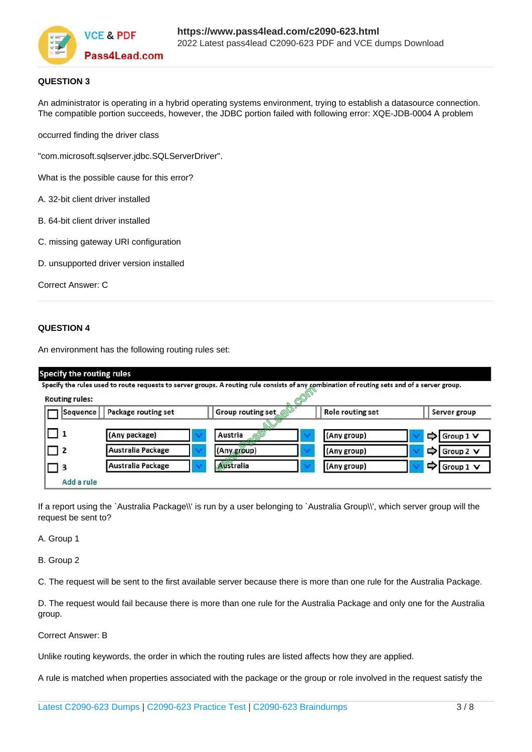

#### **QUESTION 3**

An administrator is operating in a hybrid operating systems environment, trying to establish a datasource connection. The compatible portion succeeds, however, the JDBC portion failed with following error: XQE-JDB-0004 A problem

occurred finding the driver class

"com.microsoft.sqlserver.jdbc.SQLServerDriver".

What is the possible cause for this error?

- A. 32-bit client driver installed
- B. 64-bit client driver installed
- C. missing gateway URI configuration
- D. unsupported driver version installed

Correct Answer: C

#### **QUESTION 4**

An environment has the following routing rules set:

| <b>Routing rules:</b> |                          | Specify the rules used to route requests to server groups. A routing rule consists of any combination of routing sets and of a server group. |                  |                |
|-----------------------|--------------------------|----------------------------------------------------------------------------------------------------------------------------------------------|------------------|----------------|
| Sequence              | Package routing set      | Group routing set                                                                                                                            | Role routing set | Server group   |
| □ 1                   | (Any package)            | Austria                                                                                                                                      | (Any group)      | Group 1 V<br>⇨ |
| □ 2                   | Australia Package        | <b>ANYON</b><br>(Any group)                                                                                                                  | (Any group)      | Group 2 V<br>⇨ |
| $\vert$ 3             | <b>Australia Package</b> | Australia                                                                                                                                    | (Any group)      | ⇨<br>Group 1 V |

If a report using the `Australia Package\\' is run by a user belonging to `Australia Group\\', which server group will the request be sent to?

A. Group 1

B. Group 2

C. The request will be sent to the first available server because there is more than one rule for the Australia Package.

D. The request would fail because there is more than one rule for the Australia Package and only one for the Australia group.

Correct Answer: B

Unlike routing keywords, the order in which the routing rules are listed affects how they are applied.

A rule is matched when properties associated with the package or the group or role involved in the request satisfy the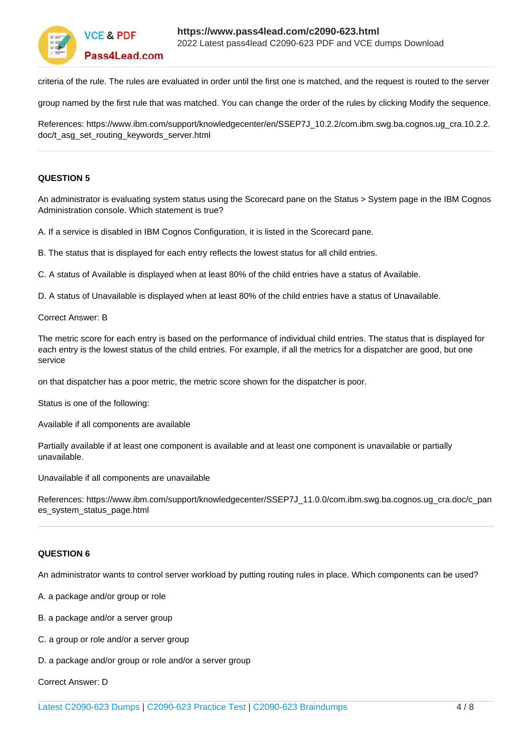

criteria of the rule. The rules are evaluated in order until the first one is matched, and the request is routed to the server

group named by the first rule that was matched. You can change the order of the rules by clicking Modify the sequence.

References: https://www.ibm.com/support/knowledgecenter/en/SSEP7J\_10.2.2/com.ibm.swg.ba.cognos.ug\_cra.10.2.2. doc/t\_asg\_set\_routing\_keywords\_server.html

#### **QUESTION 5**

An administrator is evaluating system status using the Scorecard pane on the Status > System page in the IBM Cognos Administration console. Which statement is true?

A. If a service is disabled in IBM Cognos Configuration, it is listed in the Scorecard pane.

B. The status that is displayed for each entry reflects the lowest status for all child entries.

C. A status of Available is displayed when at least 80% of the child entries have a status of Available.

D. A status of Unavailable is displayed when at least 80% of the child entries have a status of Unavailable.

Correct Answer: B

The metric score for each entry is based on the performance of individual child entries. The status that is displayed for each entry is the lowest status of the child entries. For example, if all the metrics for a dispatcher are good, but one service

on that dispatcher has a poor metric, the metric score shown for the dispatcher is poor.

Status is one of the following:

Available if all components are available

Partially available if at least one component is available and at least one component is unavailable or partially unavailable.

Unavailable if all components are unavailable

References: https://www.ibm.com/support/knowledgecenter/SSEP7J\_11.0.0/com.ibm.swg.ba.cognos.ug\_cra.doc/c\_pan es\_system\_status\_page.html

#### **QUESTION 6**

An administrator wants to control server workload by putting routing rules in place. Which components can be used?

A. a package and/or group or role

- B. a package and/or a server group
- C. a group or role and/or a server group
- D. a package and/or group or role and/or a server group

Correct Answer: D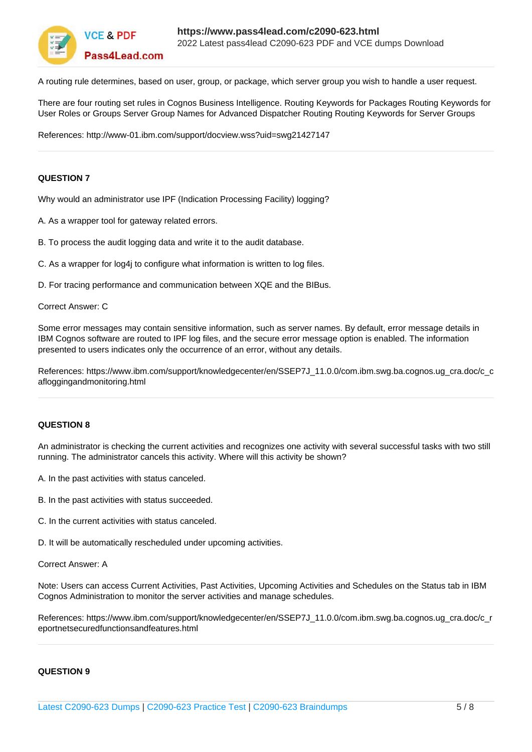

A routing rule determines, based on user, group, or package, which server group you wish to handle a user request.

There are four routing set rules in Cognos Business Intelligence. Routing Keywords for Packages Routing Keywords for User Roles or Groups Server Group Names for Advanced Dispatcher Routing Routing Keywords for Server Groups

References: http://www-01.ibm.com/support/docview.wss?uid=swg21427147

#### **QUESTION 7**

Why would an administrator use IPF (Indication Processing Facility) logging?

A. As a wrapper tool for gateway related errors.

- B. To process the audit logging data and write it to the audit database.
- C. As a wrapper for log4i to configure what information is written to log files.

D. For tracing performance and communication between XQE and the BIBus.

#### Correct Answer: C

Some error messages may contain sensitive information, such as server names. By default, error message details in IBM Cognos software are routed to IPF log files, and the secure error message option is enabled. The information presented to users indicates only the occurrence of an error, without any details.

References: https://www.ibm.com/support/knowledgecenter/en/SSEP7J\_11.0.0/com.ibm.swg.ba.cognos.ug\_cra.doc/c\_c afloggingandmonitoring.html

#### **QUESTION 8**

An administrator is checking the current activities and recognizes one activity with several successful tasks with two still running. The administrator cancels this activity. Where will this activity be shown?

- A. In the past activities with status canceled.
- B. In the past activities with status succeeded.
- C. In the current activities with status canceled.
- D. It will be automatically rescheduled under upcoming activities.

Correct Answer: A

Note: Users can access Current Activities, Past Activities, Upcoming Activities and Schedules on the Status tab in IBM Cognos Administration to monitor the server activities and manage schedules.

References: https://www.ibm.com/support/knowledgecenter/en/SSEP7J\_11.0.0/com.ibm.swg.ba.cognos.ug\_cra.doc/c\_r eportnetsecuredfunctionsandfeatures.html

#### **QUESTION 9**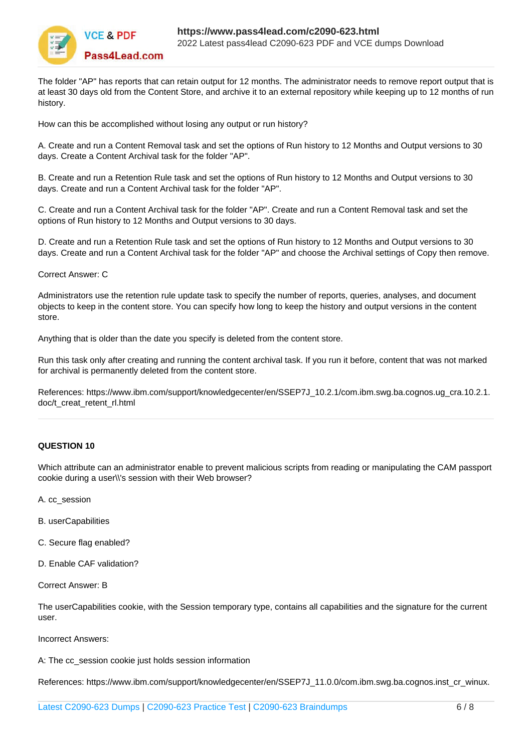

The folder "AP" has reports that can retain output for 12 months. The administrator needs to remove report output that is at least 30 days old from the Content Store, and archive it to an external repository while keeping up to 12 months of run history.

How can this be accomplished without losing any output or run history?

A. Create and run a Content Removal task and set the options of Run history to 12 Months and Output versions to 30 days. Create a Content Archival task for the folder "AP".

B. Create and run a Retention Rule task and set the options of Run history to 12 Months and Output versions to 30 days. Create and run a Content Archival task for the folder "AP".

C. Create and run a Content Archival task for the folder "AP". Create and run a Content Removal task and set the options of Run history to 12 Months and Output versions to 30 days.

D. Create and run a Retention Rule task and set the options of Run history to 12 Months and Output versions to 30 days. Create and run a Content Archival task for the folder "AP" and choose the Archival settings of Copy then remove.

Correct Answer: C

Administrators use the retention rule update task to specify the number of reports, queries, analyses, and document objects to keep in the content store. You can specify how long to keep the history and output versions in the content store.

Anything that is older than the date you specify is deleted from the content store.

Run this task only after creating and running the content archival task. If you run it before, content that was not marked for archival is permanently deleted from the content store.

References: https://www.ibm.com/support/knowledgecenter/en/SSEP7J\_10.2.1/com.ibm.swg.ba.cognos.ug\_cra.10.2.1. doc/t\_creat\_retent\_rl.html

#### **QUESTION 10**

Which attribute can an administrator enable to prevent malicious scripts from reading or manipulating the CAM passport cookie during a user\\'s session with their Web browser?

- A. cc\_session
- B. userCapabilities
- C. Secure flag enabled?
- D. Enable CAF validation?
- Correct Answer: B

The userCapabilities cookie, with the Session temporary type, contains all capabilities and the signature for the current user.

Incorrect Answers:

A: The cc\_session cookie just holds session information

References: https://www.ibm.com/support/knowledgecenter/en/SSEP7J\_11.0.0/com.ibm.swg.ba.cognos.inst\_cr\_winux.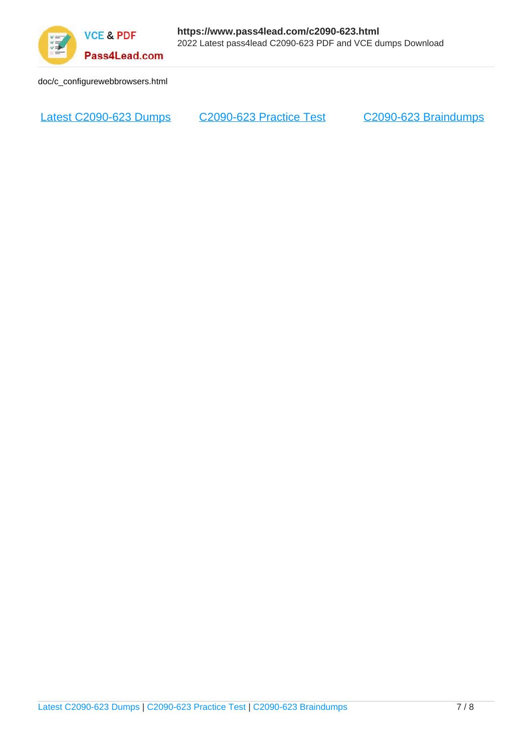

doc/c\_configurewebbrowsers.html

[Latest C2090-623 Dumps](https://www.pass4lead.com/c2090-623.html) [C2090-623 Practice Test](https://www.pass4lead.com/c2090-623.html) [C2090-623 Braindumps](https://www.pass4lead.com/c2090-623.html)